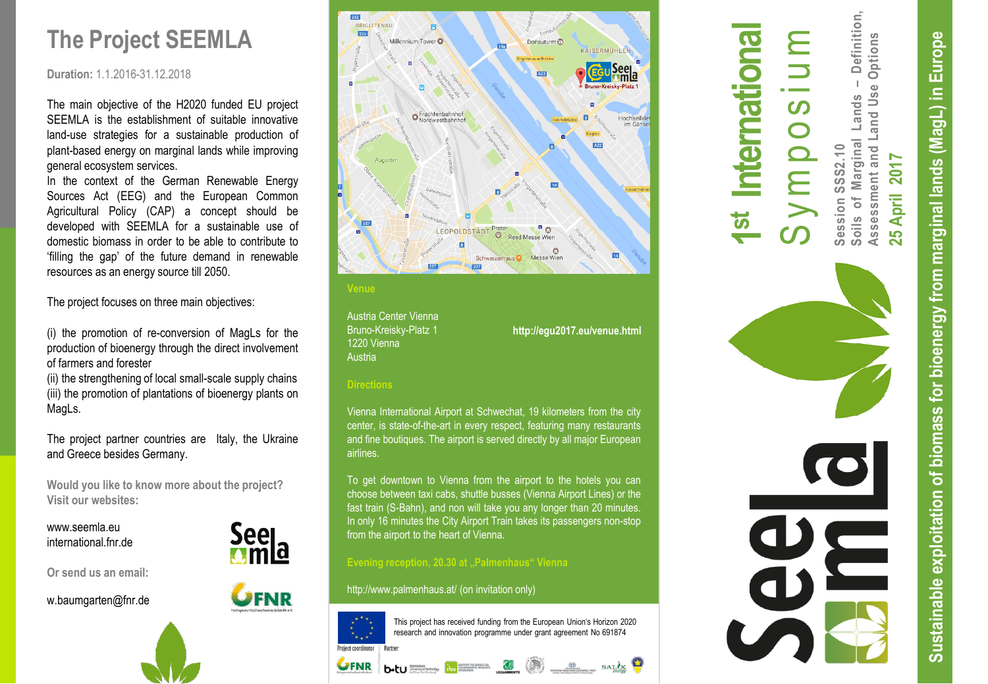# **The Project SEEMLA**

#### **Duration:** 1.1.2016 -31.12.2018

The main objective of the H2020 funded EU project SEEMLA is the establishment of suitable innovative land -use strategies for a sustainable production of plant -based energy on marginal lands while improving general ecosystem services.

In the context of the German Renewable Energy Sources Act (EEG) and the European Common Agricultural Policy (CAP) a concept should be developed with SEEMLA for a sustainable use of domestic biomass in order to be able to contribute to 'filling the gap' of the future demand in renewable resources as an energy source till 2050.

The project focuses on three main objectives:

(i) the promotion of re-conversion of MagLs for the production of bioenergy through the direct involvement of farmers and forester

(ii) the strengthening of local small -scale supply chains (iii) the promotion of plantations of bioenergy plants on MagLs.

The project partner countries are Italy, the Ukraine and Greece besides Germany.

**Would you like to know more about the project ? Visit our websites :**

www.seemla.eu international.fnr.de

**Or send us an email:**

w.baumgarten@fnr.de





Austria Center Vienna Bruno -Kreisky -Platz 1 1220 Vienna **Austria** 

### **http://egu2017.eu/venue.html**

#### **Directions**

Vienna International Airport at Schwechat, 19 kilometers from the city center, is state-of-the-art in every respect, featuring many restaurants and fine boutiques. The airport is served directly by all major European airlines.

To get downtown to Vienna from the airport to the hotels you can choose between taxi cabs, shuttle busses (Vienna Airport Lines) or the fast train (S -Bahn), and non will take you any longer than 20 minutes. In only 16 minutes the City Airport Train takes its passengers non -stop from the airport to the heart of Vienna.

 $b$ -tu  $\frac{1}{\log n}$  is  $\frac{1}{\log n}$   $\frac{1}{\log n}$   $\frac{1}{\log n}$   $\frac{1}{\log n}$   $\frac{1}{\log n}$   $\frac{1}{\log n}$ 

#### **Evening reception, 20.30 at "Palmenhaus" Vienna**

http://www.palmenhaus.at / (on invitation only)



UFNR

This project has received funding from the European Union's Horizon 2020 research and innovation programme under grant agreement No 691874

# **1st International** S y m p o s i u m

Definition, **Soils of Marginal Lands – Definition,** Options **Assessment and Land Use Options**  $\mathbf{I}$ and Use Lands Marginal and L **Session SSS2.10 25 April 2017**  2017 Assessment April  $\overline{\mathsf{L}}$  $rac{1}{\sqrt{2}}$  $\overline{5}$  $\tilde{\mathbf{N}}$